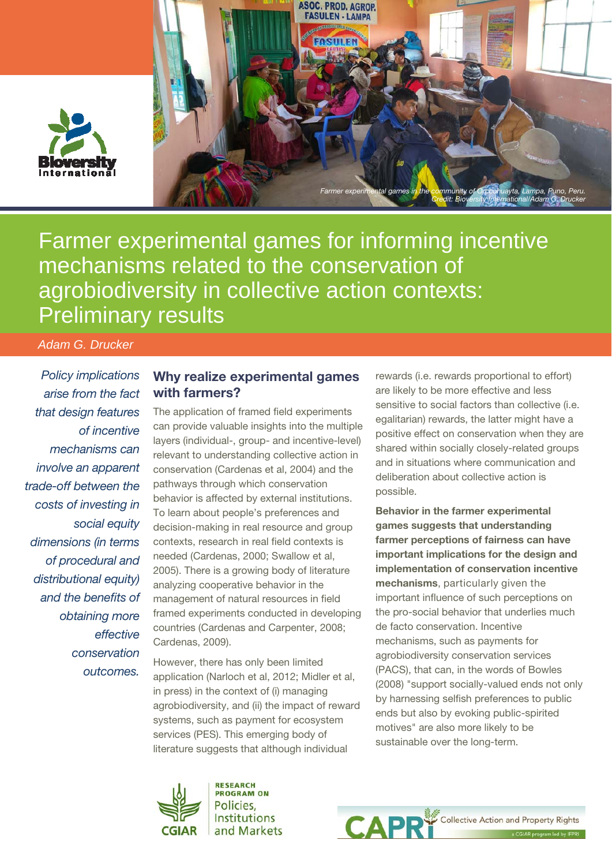



Farmer experimental games for informing incentive mechanisms related to the conservation of agrobiodiversity in collective action contexts: Preliminary results

 *Adam G. Drucker* 

Policy implications arise from the fact that design features of incentive mechanisms can involve an apparent trade-off between the costs of investing in social equity dimensions (in terms of procedural and distributional equity) and the benefits of obtaining more effective conservation outcomes.

### Why realize experimental games with farmers?

The application of framed field experiments can provide valuable insights into the multiple layers (individual-, group- and incentive-level) relevant to understanding collective action in conservation (Cardenas et al, 2004) and the pathways through which conservation behavior is affected by external institutions. To learn about people's preferences and decision-making in real resource and group contexts, research in real field contexts is needed (Cardenas, 2000; Swallow et al, 2005). There is a growing body of literature analyzing cooperative behavior in the management of natural resources in field framed experiments conducted in developing countries (Cardenas and Carpenter, 2008; Cardenas, 2009).

However, there has only been limited application (Narloch et al, 2012; Midler et al, in press) in the context of (i) managing agrobiodiversity, and (ii) the impact of reward systems, such as payment for ecosystem services (PES). This emerging body of literature suggests that although individual

rewards (i.e. rewards proportional to effort) are likely to be more effective and less sensitive to social factors than collective (i.e. egalitarian) rewards, the latter might have a positive effect on conservation when they are shared within socially closely-related groups and in situations where communication and deliberation about collective action is possible.

Behavior in the farmer experimental games suggests that understanding farmer perceptions of fairness can have important implications for the design and implementation of conservation incentive mechanisms, particularly given the important influence of such perceptions on the pro-social behavior that underlies much de facto conservation. Incentive mechanisms, such as payments for agrobiodiversity conservation services (PACS), that can, in the words of Bowles (2008) "support socially-valued ends not only by harnessing selfish preferences to public ends but also by evoking public-spirited motives" are also more likely to be sustainable over the long-term.



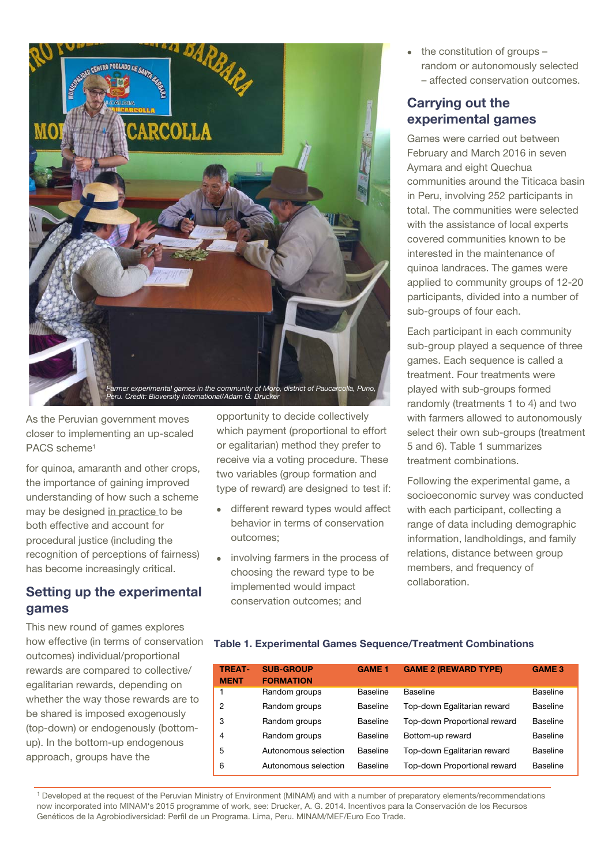

As the Peruvian government moves closer to implementing an up-scaled PACS scheme<sup>1</sup>

for quinoa, amaranth and other crops, the importance of gaining improved understanding of how such a scheme may be designed in practice to be both effective and account for procedural justice (including the recognition of perceptions of fairness) has become increasingly critical.

## Setting up the experimental games

This new round of games explores how effective (in terms of conservation outcomes) individual/proportional rewards are compared to collective/ egalitarian rewards, depending on whether the way those rewards are to be shared is imposed exogenously (top-down) or endogenously (bottomup). In the bottom-up endogenous approach, groups have the

opportunity to decide collectively which payment (proportional to effort or egalitarian) method they prefer to receive via a voting procedure. These two variables (group formation and type of reward) are designed to test if:

- different reward types would affect behavior in terms of conservation outcomes;
- involving farmers in the process of choosing the reward type to be implemented would impact conservation outcomes; and

 the constitution of groups – random or autonomously selected – affected conservation outcomes.

# Carrying out the experimental games

Games were carried out between February and March 2016 in seven Aymara and eight Quechua communities around the Titicaca basin in Peru, involving 252 participants in total. The communities were selected with the assistance of local experts covered communities known to be interested in the maintenance of quinoa landraces. The games were applied to community groups of 12-20 participants, divided into a number of sub-groups of four each.

Each participant in each community sub-group played a sequence of three games. Each sequence is called a treatment. Four treatments were played with sub-groups formed randomly (treatments 1 to 4) and two with farmers allowed to autonomously select their own sub-groups (treatment 5 and 6). Table 1 summarizes treatment combinations.

Following the experimental game, a socioeconomic survey was conducted with each participant, collecting a range of data including demographic information, landholdings, and family relations, distance between group members, and frequency of collaboration.

#### Table 1. Experimental Games Sequence/Treatment Combinations

| <b>TREAT-</b><br><b>MENT</b> | <b>SUB-GROUP</b><br><b>FORMATION</b> | <b>GAME 1</b>   | <b>GAME 2 (REWARD TYPE)</b>  | <b>GAME 3</b> |
|------------------------------|--------------------------------------|-----------------|------------------------------|---------------|
| 1                            | Random groups                        | <b>Baseline</b> | Baseline                     | Baseline      |
| $\overline{2}$               | Random groups                        | <b>Baseline</b> | Top-down Egalitarian reward  | Baseline      |
| 3                            | Random groups                        | Baseline        | Top-down Proportional reward | Baseline      |
| 4                            | Random groups                        | Baseline        | Bottom-up reward             | Baseline      |
| 5                            | Autonomous selection                 | <b>Baseline</b> | Top-down Egalitarian reward  | Baseline      |
| 6                            | Autonomous selection                 | Baseline        | Top-down Proportional reward | Baseline      |

1 Developed at the request of the Peruvian Ministry of Environment (MINAM) and with a number of preparatory elements/recommendations now incorporated into MINAM's 2015 programme of work, see: Drucker, A. G. 2014. Incentivos para la Conservación de los Recursos Genéticos de la Agrobiodiversidad: Perfil de un Programa. Lima, Peru. MINAM/MEF/Euro Eco Trade.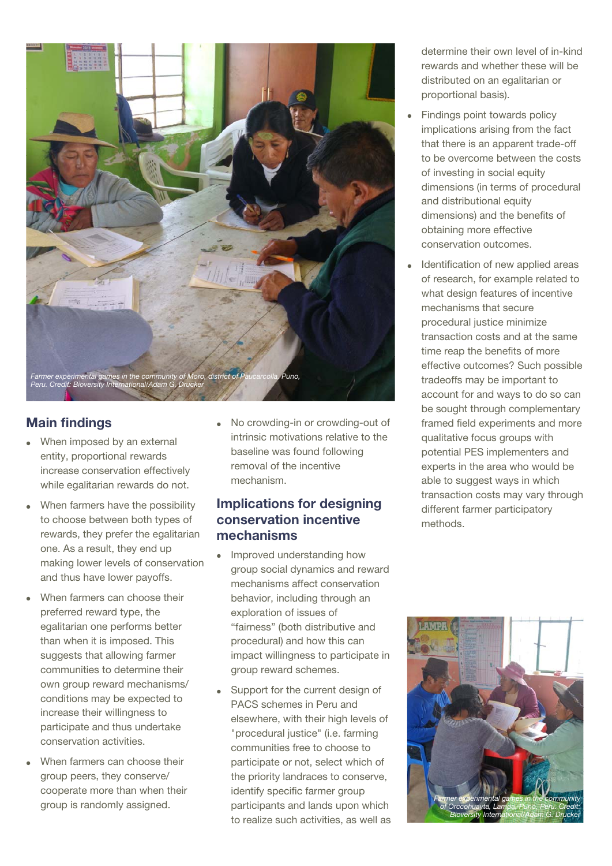

# Main findings

- When imposed by an external entity, proportional rewards increase conservation effectively while egalitarian rewards do not.
- When farmers have the possibility to choose between both types of rewards, they prefer the egalitarian one. As a result, they end up making lower levels of conservation and thus have lower payoffs.
- When farmers can choose their preferred reward type, the egalitarian one performs better than when it is imposed. This suggests that allowing farmer communities to determine their own group reward mechanisms/ conditions may be expected to increase their willingness to participate and thus undertake conservation activities.
- When farmers can choose their group peers, they conserve/ cooperate more than when their group is randomly assigned.

 No crowding-in or crowding-out of intrinsic motivations relative to the baseline was found following removal of the incentive mechanism.

## Implications for designing conservation incentive mechanisms

- Improved understanding how group social dynamics and reward mechanisms affect conservation behavior, including through an exploration of issues of "fairness" (both distributive and procedural) and how this can impact willingness to participate in group reward schemes.
- Support for the current design of PACS schemes in Peru and elsewhere, with their high levels of "procedural justice" (i.e. farming communities free to choose to participate or not, select which of the priority landraces to conserve, identify specific farmer group participants and lands upon which to realize such activities, as well as

determine their own level of in-kind rewards and whether these will be distributed on an egalitarian or proportional basis).

- Findings point towards policy implications arising from the fact that there is an apparent trade-off to be overcome between the costs of investing in social equity dimensions (in terms of procedural and distributional equity dimensions) and the benefits of obtaining more effective conservation outcomes.
- Identification of new applied areas of research, for example related to what design features of incentive mechanisms that secure procedural justice minimize transaction costs and at the same time reap the benefits of more effective outcomes? Such possible tradeoffs may be important to account for and ways to do so can be sought through complementary framed field experiments and more qualitative focus groups with potential PES implementers and experts in the area who would be able to suggest ways in which transaction costs may vary through different farmer participatory methods.